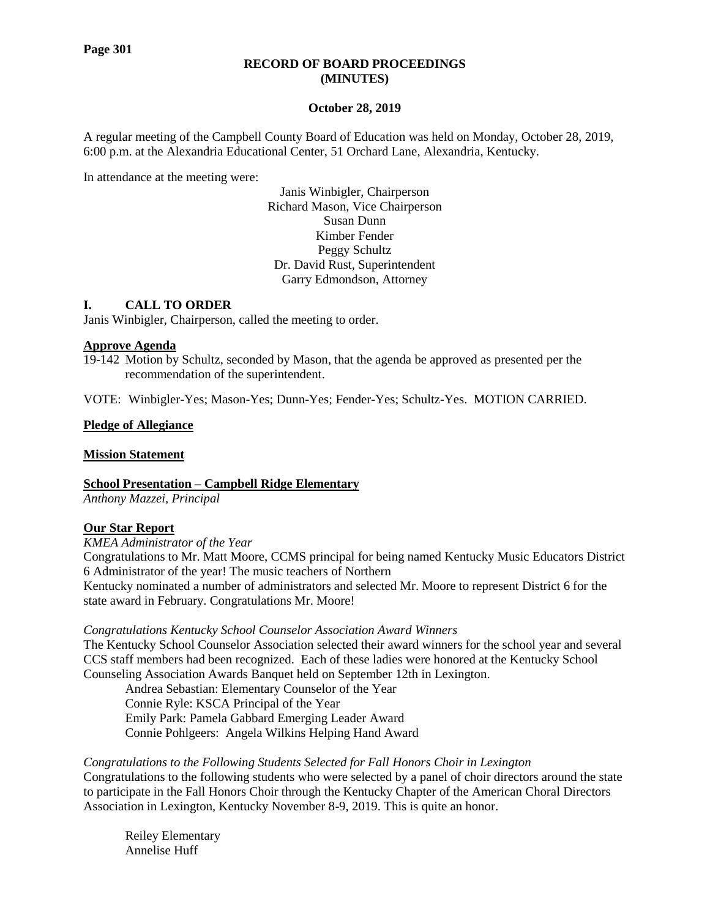## **RECORD OF BOARD PROCEEDINGS (MINUTES)**

### **October 28, 2019**

A regular meeting of the Campbell County Board of Education was held on Monday, October 28, 2019, 6:00 p.m. at the Alexandria Educational Center, 51 Orchard Lane, Alexandria, Kentucky.

In attendance at the meeting were:

Janis Winbigler, Chairperson Richard Mason, Vice Chairperson Susan Dunn Kimber Fender Peggy Schultz Dr. David Rust, Superintendent Garry Edmondson, Attorney

# **I. CALL TO ORDER**

Janis Winbigler, Chairperson, called the meeting to order.

### **Approve Agenda**

19-142 Motion by Schultz, seconded by Mason, that the agenda be approved as presented per the recommendation of the superintendent.

VOTE: Winbigler-Yes; Mason-Yes; Dunn-Yes; Fender-Yes; Schultz-Yes. MOTION CARRIED.

# **Pledge of Allegiance**

### **Mission Statement**

**School Presentation – Campbell Ridge Elementary**

*Anthony Mazzei, Principal*

# **Our Star Report**

*[KMEA Administrator of the Year](https://www.campbellcountyschools.org/News/55273)*

Congratulations to Mr. Matt Moore, CCMS principal for being named Kentucky Music Educators District 6 Administrator of the year! The music teachers of Northern

Kentucky nominated a number of administrators and selected Mr. Moore to represent District 6 for the state award in February. Congratulations Mr. Moore!

### *[Congratulations Kentucky School Counselor Association Award Winners](https://www.campbellcountyschools.org/News/55271)*

The Kentucky School Counselor Association selected their award winners for the school year and several CCS staff members had been recognized. Each of these ladies were honored at the Kentucky School Counseling Association Awards Banquet held on September 12th in Lexington.

Andrea Sebastian: Elementary Counselor of the Year Connie Ryle: KSCA Principal of the Year Emily Park: Pamela Gabbard Emerging Leader Award Connie Pohlgeers: Angela Wilkins Helping Hand Award

*[Congratulations to the Following Students Selected for Fall Honors Choir in](https://www.campbellcountyschools.org/News/55280) [Lexington](https://www.campbellcountyschools.org/News/55280)* Congratulations to the following students who were selected by a panel of choir directors around the state to participate in the Fall Honors Choir through the Kentucky Chapter of the American Choral Directors Association in Lexington, Kentucky November 8-9, 2019. This is quite an honor.

Reiley Elementary Annelise Huff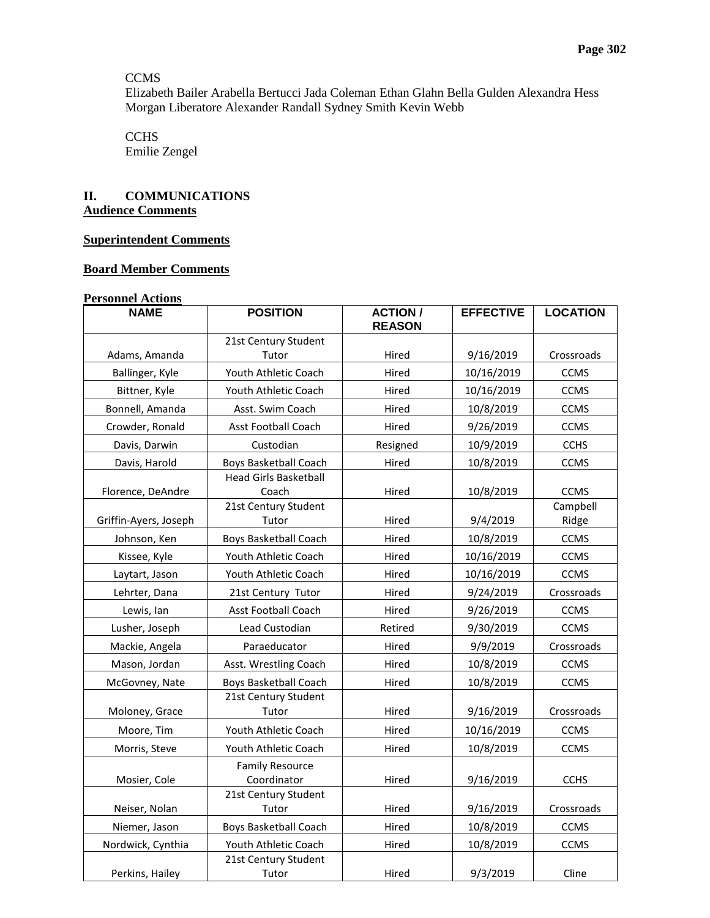# **CCMS**

Elizabeth Bailer Arabella Bertucci Jada Coleman Ethan Glahn Bella Gulden Alexandra Hess Morgan Liberatore Alexander Randall Sydney Smith Kevin Webb

**CCHS** Emilie Zengel

# **II. COMMUNICATIONS Audience Comments**

# **Superintendent Comments**

# **Board Member Comments**

### **Personnel Actions**

| <b>NAME</b>           | <b>POSITION</b>                       | <b>ACTION /</b><br><b>EFFECTIVE</b><br><b>REASON</b> |            | <b>LOCATION</b>   |  |
|-----------------------|---------------------------------------|------------------------------------------------------|------------|-------------------|--|
|                       | 21st Century Student                  |                                                      |            |                   |  |
| Adams, Amanda         | Tutor                                 | Hired                                                | 9/16/2019  | Crossroads        |  |
| Ballinger, Kyle       | Youth Athletic Coach                  | Hired                                                | 10/16/2019 | <b>CCMS</b>       |  |
| Bittner, Kyle         | Youth Athletic Coach                  | Hired                                                | 10/16/2019 | <b>CCMS</b>       |  |
| Bonnell, Amanda       | Asst. Swim Coach                      | Hired                                                | 10/8/2019  | <b>CCMS</b>       |  |
| Crowder, Ronald       | <b>Asst Football Coach</b>            | Hired                                                | 9/26/2019  | <b>CCMS</b>       |  |
| Davis, Darwin         | Custodian                             | Resigned                                             | 10/9/2019  | <b>CCHS</b>       |  |
| Davis, Harold         | <b>Boys Basketball Coach</b>          | Hired                                                | 10/8/2019  | <b>CCMS</b>       |  |
| Florence, DeAndre     | <b>Head Girls Basketball</b><br>Coach | Hired                                                | 10/8/2019  | <b>CCMS</b>       |  |
| Griffin-Ayers, Joseph | 21st Century Student<br>Tutor         | Hired                                                | 9/4/2019   | Campbell<br>Ridge |  |
| Johnson, Ken          | <b>Boys Basketball Coach</b>          | Hired                                                | 10/8/2019  | <b>CCMS</b>       |  |
| Kissee, Kyle          | Youth Athletic Coach                  | Hired                                                | 10/16/2019 | <b>CCMS</b>       |  |
| Laytart, Jason        | Youth Athletic Coach                  | Hired                                                | 10/16/2019 | <b>CCMS</b>       |  |
| Lehrter, Dana         | 21st Century Tutor                    | Hired                                                | 9/24/2019  | Crossroads        |  |
| Lewis, Ian            | <b>Asst Football Coach</b>            | Hired                                                | 9/26/2019  | <b>CCMS</b>       |  |
| Lusher, Joseph        | Lead Custodian                        | Retired                                              | 9/30/2019  | <b>CCMS</b>       |  |
| Mackie, Angela        | Paraeducator                          | Hired                                                | 9/9/2019   | Crossroads        |  |
| Mason, Jordan         | Asst. Wrestling Coach                 | Hired                                                | 10/8/2019  | <b>CCMS</b>       |  |
| McGovney, Nate        | Boys Basketball Coach                 | Hired                                                | 10/8/2019  | <b>CCMS</b>       |  |
| Moloney, Grace        | 21st Century Student<br>Tutor         | Hired                                                | 9/16/2019  |                   |  |
| Moore, Tim            | Youth Athletic Coach                  | Hired                                                | 10/16/2019 | <b>CCMS</b>       |  |
| Morris, Steve         | Youth Athletic Coach                  | Hired                                                | 10/8/2019  | <b>CCMS</b>       |  |
| Mosier, Cole          | <b>Family Resource</b><br>Coordinator | Hired                                                | 9/16/2019  | <b>CCHS</b>       |  |
| Neiser, Nolan         | 21st Century Student<br>Tutor         | 9/16/2019<br>Hired                                   |            | Crossroads        |  |
| Niemer, Jason         | <b>Boys Basketball Coach</b>          | 10/8/2019<br>Hired                                   |            | <b>CCMS</b>       |  |
| Nordwick, Cynthia     | Youth Athletic Coach                  | Hired                                                | 10/8/2019  |                   |  |
| Perkins, Hailey       | 21st Century Student<br>Tutor         | Hired                                                | 9/3/2019   |                   |  |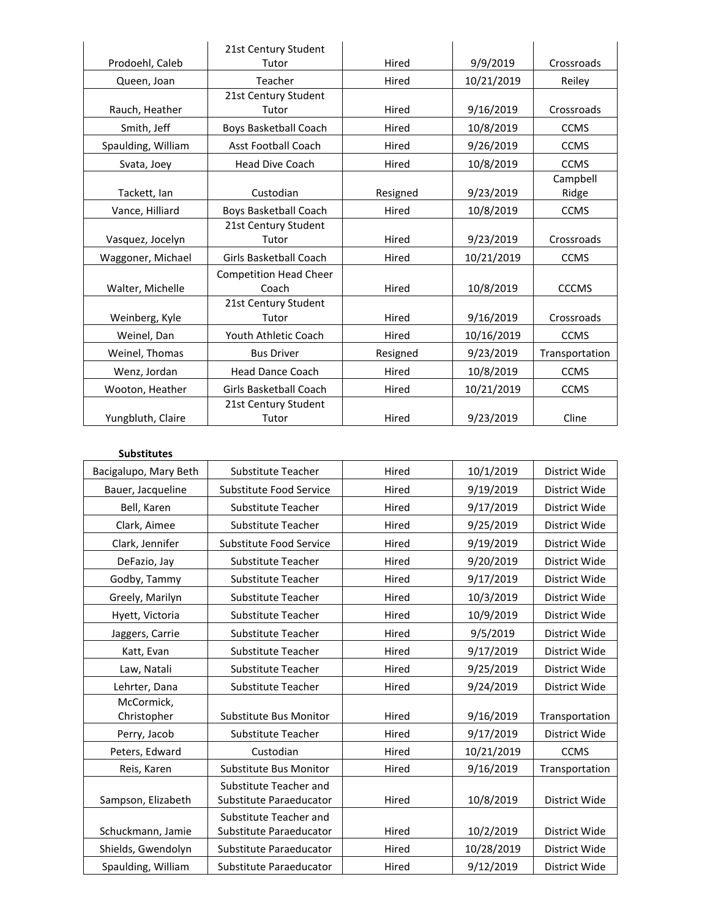|                    | 21st Century Student          |                       |            |                |  |
|--------------------|-------------------------------|-----------------------|------------|----------------|--|
| Prodoehl, Caleb    | Tutor                         | Hired<br>9/9/2019     |            |                |  |
| Queen, Joan        | Teacher                       | Hired                 | 10/21/2019 | Reiley         |  |
|                    | 21st Century Student          |                       |            |                |  |
| Rauch, Heather     | Tutor                         | Hired                 | 9/16/2019  | Crossroads     |  |
| Smith, Jeff        | Boys Basketball Coach         | Hired                 | 10/8/2019  | <b>CCMS</b>    |  |
| Spaulding, William | <b>Asst Football Coach</b>    | Hired                 | 9/26/2019  | <b>CCMS</b>    |  |
| Svata, Joey        | <b>Head Dive Coach</b>        | Hired                 | 10/8/2019  | <b>CCMS</b>    |  |
|                    |                               |                       |            | Campbell       |  |
| Tackett, Ian       | Custodian                     | Resigned              | 9/23/2019  | Ridge          |  |
| Vance, Hilliard    | Boys Basketball Coach         | 10/8/2019<br>Hired    |            | <b>CCMS</b>    |  |
|                    | 21st Century Student          |                       |            |                |  |
| Vasquez, Jocelyn   | Tutor<br>Hired                |                       | 9/23/2019  | Crossroads     |  |
| Waggoner, Michael  | <b>Girls Basketball Coach</b> | 10/21/2019<br>Hired   |            | <b>CCMS</b>    |  |
|                    | <b>Competition Head Cheer</b> |                       |            |                |  |
| Walter, Michelle   | Coach                         | Hired<br>10/8/2019    |            | <b>CCCMS</b>   |  |
|                    | 21st Century Student          |                       |            |                |  |
| Weinberg, Kyle     | Tutor                         | 9/16/2019<br>Hired    |            | Crossroads     |  |
| Weinel, Dan        | Youth Athletic Coach          | 10/16/2019<br>Hired   |            | <b>CCMS</b>    |  |
| Weinel, Thomas     | <b>Bus Driver</b>             | 9/23/2019<br>Resigned |            | Transportation |  |
| Wenz, Jordan       | <b>Head Dance Coach</b>       | Hired<br>10/8/2019    |            | <b>CCMS</b>    |  |
| Wooton, Heather    | Girls Basketball Coach        | Hired                 | 10/21/2019 |                |  |
|                    | 21st Century Student          |                       |            |                |  |
| Yungbluth, Claire  | Tutor                         | Hired                 | 9/23/2019  | Cline          |  |

#### **Substitutes**

| Bacigalupo, Mary Beth     | Substitute Teacher                                | 10/1/2019<br>Hired |                | District Wide  |
|---------------------------|---------------------------------------------------|--------------------|----------------|----------------|
| Bauer, Jacqueline         | Substitute Food Service<br>Hired<br>9/19/2019     |                    | District Wide  |                |
| Bell, Karen               | Hired<br>9/17/2019<br>Substitute Teacher          |                    | District Wide  |                |
| Clark, Aimee              | Substitute Teacher                                | District Wide      |                |                |
| Clark, Jennifer           | Substitute Food Service                           | District Wide      |                |                |
| DeFazio, Jay              | Substitute Teacher                                | Hired              | 9/20/2019      | District Wide  |
| Godby, Tammy              | <b>Substitute Teacher</b>                         | Hired              | 9/17/2019      | District Wide  |
| Greely, Marilyn           | Substitute Teacher                                | Hired              | 10/3/2019      | District Wide  |
| Hyett, Victoria           | Substitute Teacher                                | Hired              | 10/9/2019      | District Wide  |
| Jaggers, Carrie           | Substitute Teacher                                | Hired              | 9/5/2019       | District Wide  |
| Katt, Evan                | Substitute Teacher                                | Hired              | 9/17/2019      | District Wide  |
| Law, Natali               | Hired<br>9/25/2019<br>Substitute Teacher          |                    | District Wide  |                |
| Lehrter, Dana             | Substitute Teacher                                | 9/24/2019<br>Hired |                | District Wide  |
| McCormick,<br>Christopher | <b>Substitute Bus Monitor</b>                     | Hired              | 9/16/2019      | Transportation |
| Perry, Jacob              | Substitute Teacher                                | Hired              | 9/17/2019      | District Wide  |
| Peters, Edward            | Custodian                                         | Hired              | 10/21/2019     | <b>CCMS</b>    |
| Reis, Karen               | 9/16/2019<br>Substitute Bus Monitor<br>Hired      |                    | Transportation |                |
| Sampson, Elizabeth        | Substitute Teacher and<br>Substitute Paraeducator | Hired              | 10/8/2019      | District Wide  |
|                           | Substitute Teacher and                            |                    |                |                |
| Schuckmann, Jamie         | Substitute Paraeducator<br>Hired                  |                    | 10/2/2019      | District Wide  |
| Shields, Gwendolyn        | Substitute Paraeducator                           | Hired              | 10/28/2019     | District Wide  |
| Spaulding, William        | Substitute Paraeducator                           | Hired              | 9/12/2019      | District Wide  |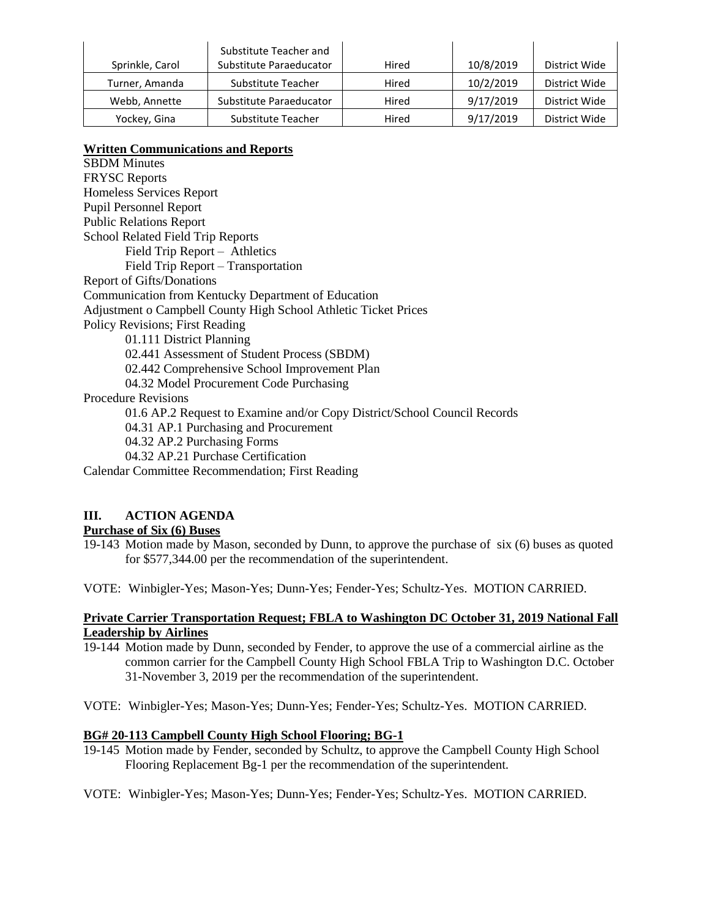| Sprinkle, Carol | Substitute Teacher and<br>Substitute Paraeducator | Hired | 10/8/2019 | District Wide |
|-----------------|---------------------------------------------------|-------|-----------|---------------|
| Turner, Amanda  | Substitute Teacher                                | Hired | 10/2/2019 | District Wide |
| Webb, Annette   | Substitute Paraeducator                           | Hired | 9/17/2019 | District Wide |
| Yockey, Gina    | Substitute Teacher                                | Hired | 9/17/2019 | District Wide |

# **Written Communications and Reports**

SBDM Minutes FRYSC Reports Homeless Services Report Pupil Personnel Report Public Relations Report School Related Field Trip Reports Field Trip Report – Athletics Field Trip Report – Transportation Report of Gifts/Donations Communication from Kentucky Department of Education Adjustment o Campbell County High School Athletic Ticket Prices Policy Revisions; First Reading 01.111 District Planning 02.441 Assessment of Student Process (SBDM) 02.442 Comprehensive School Improvement Plan 04.32 Model Procurement Code Purchasing Procedure Revisions 01.6 AP.2 Request to Examine and/or Copy District/School Council Records 04.31 AP.1 Purchasing and Procurement 04.32 AP.2 Purchasing Forms 04.32 AP.21 Purchase Certification Calendar Committee Recommendation; First Reading

# **III. ACTION AGENDA**

# **Purchase of Six (6) Buses**

19-143 Motion made by Mason, seconded by Dunn, to approve the purchase of six (6) buses as quoted for \$577,344.00 per the recommendation of the superintendent.

VOTE: Winbigler-Yes; Mason-Yes; Dunn-Yes; Fender-Yes; Schultz-Yes. MOTION CARRIED.

# **Private Carrier Transportation Request; FBLA to Washington DC October 31, 2019 National Fall Leadership by Airlines**

- 19-144 Motion made by Dunn, seconded by Fender, to approve the use of a commercial airline as the common carrier for the Campbell County High School FBLA Trip to Washington D.C. October 31-November 3, 2019 per the recommendation of the superintendent.
- VOTE: Winbigler-Yes; Mason-Yes; Dunn-Yes; Fender-Yes; Schultz-Yes. MOTION CARRIED.

# **BG# 20-113 Campbell County High School Flooring; BG-1**

- 19-145 Motion made by Fender, seconded by Schultz, to approve the Campbell County High School Flooring Replacement Bg-1 per the recommendation of the superintendent.
- VOTE: Winbigler-Yes; Mason-Yes; Dunn-Yes; Fender-Yes; Schultz-Yes. MOTION CARRIED.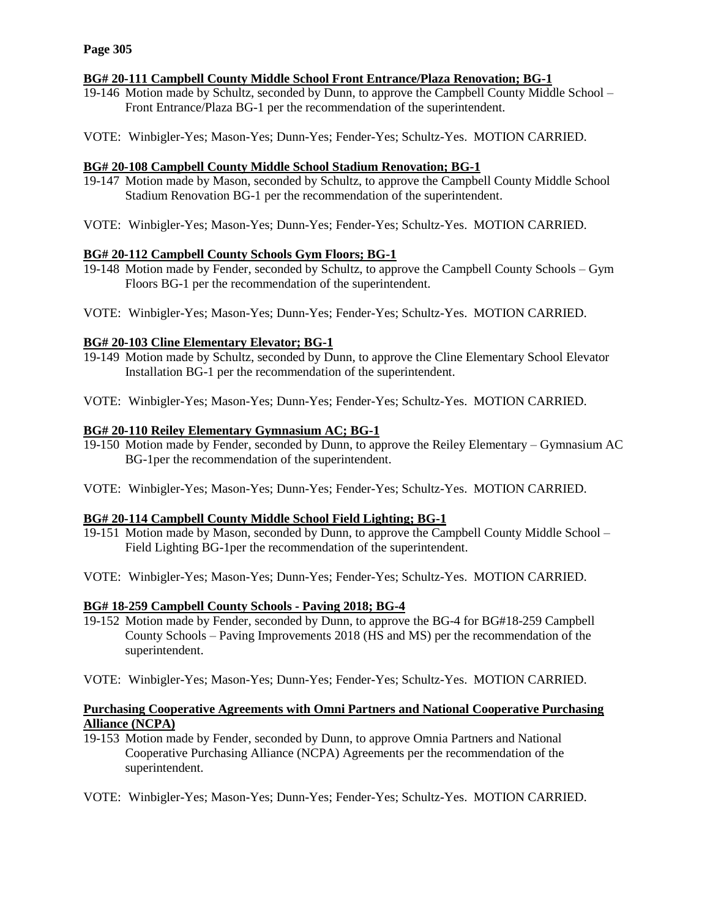# **BG# 20-111 Campbell County Middle School Front Entrance/Plaza Renovation; BG-1**

- 19-146 Motion made by Schultz, seconded by Dunn, to approve the Campbell County Middle School Front Entrance/Plaza BG-1 per the recommendation of the superintendent.
- VOTE: Winbigler-Yes; Mason-Yes; Dunn-Yes; Fender-Yes; Schultz-Yes. MOTION CARRIED.

# **BG# 20-108 Campbell County Middle School Stadium Renovation; BG-1**

- 19-147 Motion made by Mason, seconded by Schultz, to approve the Campbell County Middle School Stadium Renovation BG-1 per the recommendation of the superintendent.
- VOTE: Winbigler-Yes; Mason-Yes; Dunn-Yes; Fender-Yes; Schultz-Yes. MOTION CARRIED.

# **BG# 20-112 Campbell County Schools Gym Floors; BG-1**

- 19-148 Motion made by Fender, seconded by Schultz, to approve the Campbell County Schools Gym Floors BG-1 per the recommendation of the superintendent.
- VOTE: Winbigler-Yes; Mason-Yes; Dunn-Yes; Fender-Yes; Schultz-Yes. MOTION CARRIED.

# **BG# 20-103 Cline Elementary Elevator; BG-1**

- 19-149 Motion made by Schultz, seconded by Dunn, to approve the Cline Elementary School Elevator Installation BG-1 per the recommendation of the superintendent.
- VOTE: Winbigler-Yes; Mason-Yes; Dunn-Yes; Fender-Yes; Schultz-Yes. MOTION CARRIED.

# **BG# 20-110 Reiley Elementary Gymnasium AC; BG-1**

- 19-150 Motion made by Fender, seconded by Dunn, to approve the Reiley Elementary Gymnasium AC BG-1per the recommendation of the superintendent.
- VOTE: Winbigler-Yes; Mason-Yes; Dunn-Yes; Fender-Yes; Schultz-Yes. MOTION CARRIED.

# **BG# 20-114 Campbell County Middle School Field Lighting; BG-1**

- 19-151 Motion made by Mason, seconded by Dunn, to approve the Campbell County Middle School Field Lighting BG-1per the recommendation of the superintendent.
- VOTE: Winbigler-Yes; Mason-Yes; Dunn-Yes; Fender-Yes; Schultz-Yes. MOTION CARRIED.

# **BG# 18-259 Campbell County Schools - Paving 2018; BG-4**

- 19-152 Motion made by Fender, seconded by Dunn, to approve the BG-4 for BG#18-259 Campbell County Schools – Paving Improvements 2018 (HS and MS) per the recommendation of the superintendent.
- VOTE: Winbigler-Yes; Mason-Yes; Dunn-Yes; Fender-Yes; Schultz-Yes. MOTION CARRIED.

# **Purchasing Cooperative Agreements with Omni Partners and National Cooperative Purchasing Alliance (NCPA)**

- 19-153 Motion made by Fender, seconded by Dunn, to approve Omnia Partners and National Cooperative Purchasing Alliance (NCPA) Agreements per the recommendation of the superintendent.
- VOTE: Winbigler-Yes; Mason-Yes; Dunn-Yes; Fender-Yes; Schultz-Yes. MOTION CARRIED.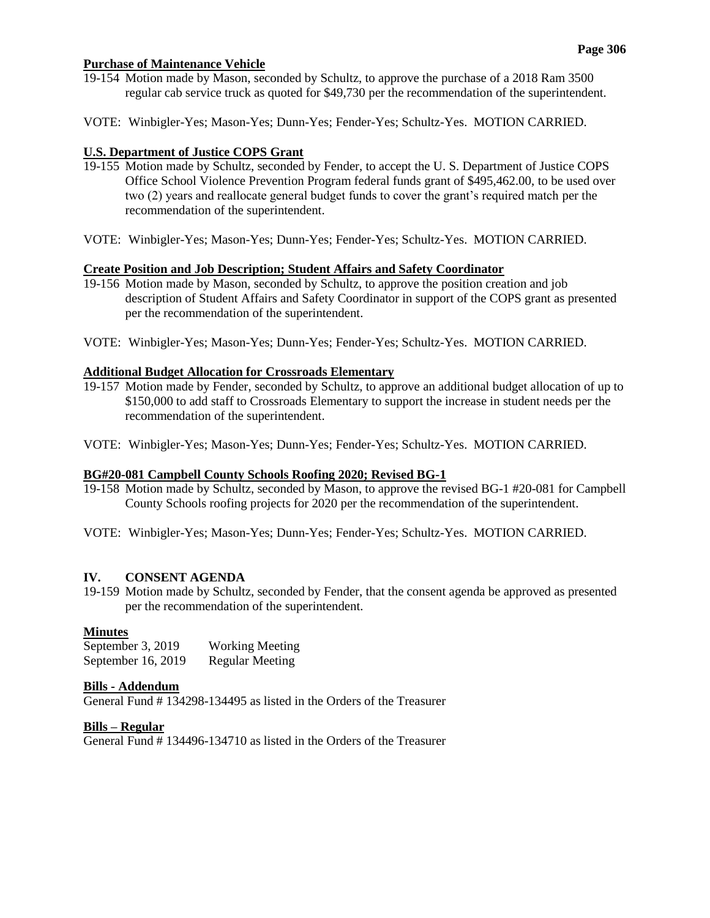### **Page 306**

### **Purchase of Maintenance Vehicle**

- 19-154 Motion made by Mason, seconded by Schultz, to approve the purchase of a 2018 Ram 3500 regular cab service truck as quoted for \$49,730 per the recommendation of the superintendent.
- VOTE: Winbigler-Yes; Mason-Yes; Dunn-Yes; Fender-Yes; Schultz-Yes. MOTION CARRIED.

# **U.S. Department of Justice COPS Grant**

- 19-155 Motion made by Schultz, seconded by Fender, to accept the U. S. Department of Justice COPS Office School Violence Prevention Program federal funds grant of \$495,462.00, to be used over two (2) years and reallocate general budget funds to cover the grant's required match per the recommendation of the superintendent.
- VOTE: Winbigler-Yes; Mason-Yes; Dunn-Yes; Fender-Yes; Schultz-Yes. MOTION CARRIED.

# **Create Position and Job Description; Student Affairs and Safety Coordinator**

- 19-156 Motion made by Mason, seconded by Schultz, to approve the position creation and job description of Student Affairs and Safety Coordinator in support of the COPS grant as presented per the recommendation of the superintendent.
- VOTE: Winbigler-Yes; Mason-Yes; Dunn-Yes; Fender-Yes; Schultz-Yes. MOTION CARRIED.

### **Additional Budget Allocation for Crossroads Elementary**

- 19-157 Motion made by Fender, seconded by Schultz, to approve an additional budget allocation of up to \$150,000 to add staff to Crossroads Elementary to support the increase in student needs per the recommendation of the superintendent.
- VOTE: Winbigler-Yes; Mason-Yes; Dunn-Yes; Fender-Yes; Schultz-Yes. MOTION CARRIED.

# **BG#20-081 Campbell County Schools Roofing 2020; Revised BG-1**

- 19-158 Motion made by Schultz, seconded by Mason, to approve the revised BG-1 #20-081 for Campbell County Schools roofing projects for 2020 per the recommendation of the superintendent.
- VOTE: Winbigler-Yes; Mason-Yes; Dunn-Yes; Fender-Yes; Schultz-Yes. MOTION CARRIED.

### **IV. CONSENT AGENDA**

19-159 Motion made by Schultz, seconded by Fender, that the consent agenda be approved as presented per the recommendation of the superintendent.

### **Minutes**

September 3, 2019 Working Meeting September 16, 2019 Regular Meeting

#### **Bills - Addendum**

General Fund # 134298-134495 as listed in the Orders of the Treasurer

#### **Bills – Regular**

General Fund # 134496-134710 as listed in the Orders of the Treasurer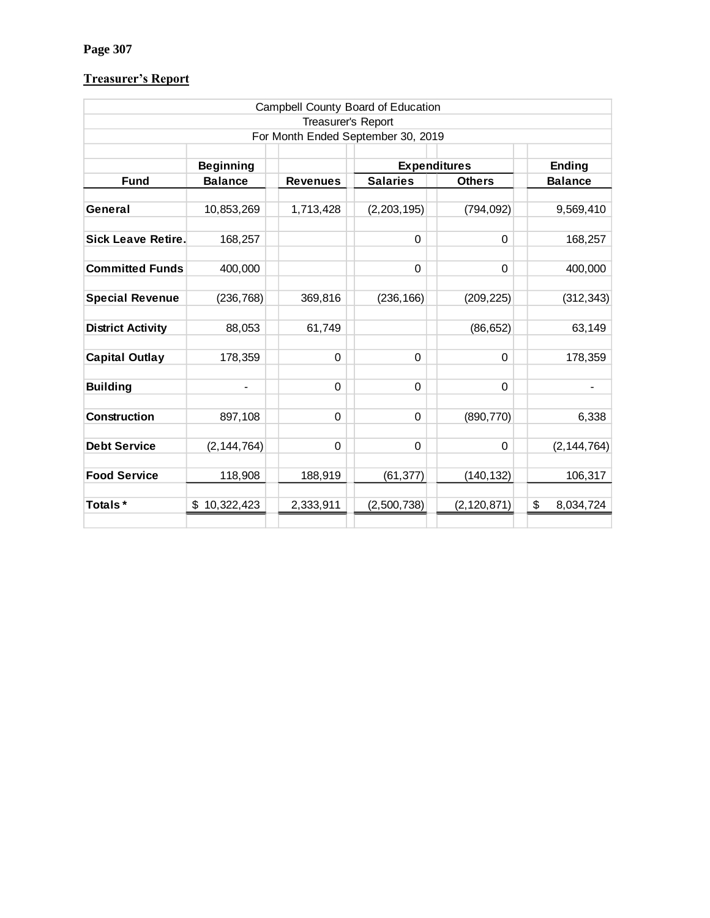# **Page 307**

# **Treasurer's Report**

|                                    |                  |                 | Campbell County Board of Education |               |                 |  |  |
|------------------------------------|------------------|-----------------|------------------------------------|---------------|-----------------|--|--|
| Treasurer's Report                 |                  |                 |                                    |               |                 |  |  |
| For Month Ended September 30, 2019 |                  |                 |                                    |               |                 |  |  |
|                                    |                  |                 |                                    |               |                 |  |  |
|                                    | <b>Beginning</b> |                 | <b>Expenditures</b>                |               | <b>Ending</b>   |  |  |
| <b>Fund</b>                        | <b>Balance</b>   | <b>Revenues</b> | <b>Salaries</b>                    | <b>Others</b> | <b>Balance</b>  |  |  |
|                                    |                  |                 |                                    |               |                 |  |  |
| General                            | 10,853,269       | 1,713,428       | (2, 203, 195)                      | (794, 092)    | 9,569,410       |  |  |
|                                    |                  |                 |                                    |               |                 |  |  |
| <b>Sick Leave Retire.</b>          | 168,257          |                 | $\Omega$                           | $\Omega$      | 168,257         |  |  |
|                                    |                  |                 |                                    |               |                 |  |  |
| <b>Committed Funds</b>             | 400,000          |                 | $\Omega$                           | $\mathbf 0$   | 400,000         |  |  |
|                                    |                  |                 |                                    |               |                 |  |  |
| <b>Special Revenue</b>             | (236, 768)       | 369,816         | (236, 166)                         | (209, 225)    | (312, 343)      |  |  |
|                                    |                  |                 |                                    |               |                 |  |  |
| <b>District Activity</b>           | 88,053           | 61,749          |                                    | (86, 652)     | 63,149          |  |  |
|                                    |                  |                 |                                    |               |                 |  |  |
| <b>Capital Outlay</b>              | 178,359          | 0               | 0                                  | $\mathbf 0$   | 178,359         |  |  |
| <b>Building</b>                    | -                | 0               | $\Omega$                           | $\mathbf 0$   |                 |  |  |
|                                    |                  |                 |                                    |               |                 |  |  |
| Construction                       | 897,108          | $\mathbf 0$     | 0                                  | (890, 770)    | 6,338           |  |  |
|                                    |                  |                 |                                    |               |                 |  |  |
| <b>Debt Service</b>                | (2, 144, 764)    | $\Omega$        | $\Omega$                           | $\Omega$      | (2, 144, 764)   |  |  |
|                                    |                  |                 |                                    |               |                 |  |  |
| <b>Food Service</b>                | 118,908          | 188,919         | (61, 377)                          | (140, 132)    | 106,317         |  |  |
|                                    |                  |                 |                                    |               |                 |  |  |
| Totals*                            | \$<br>10,322,423 | 2,333,911       | (2,500,738)                        | (2, 120, 871) | \$<br>8,034,724 |  |  |
|                                    |                  |                 |                                    |               |                 |  |  |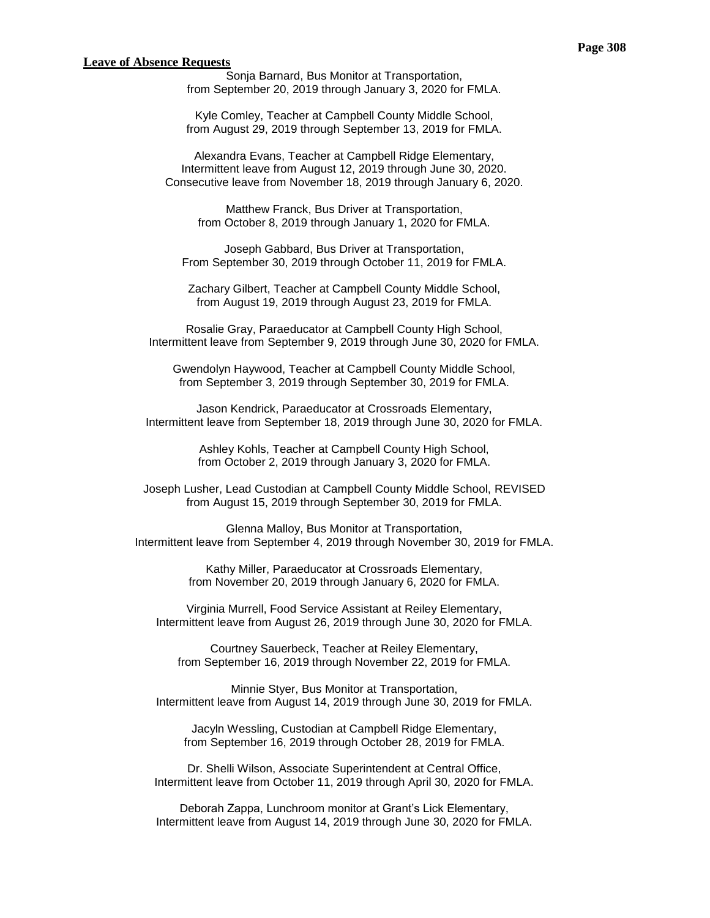#### **Leave of Absence Requests**

Sonja Barnard, Bus Monitor at Transportation, from September 20, 2019 through January 3, 2020 for FMLA.

Kyle Comley, Teacher at Campbell County Middle School, from August 29, 2019 through September 13, 2019 for FMLA.

Alexandra Evans, Teacher at Campbell Ridge Elementary, Intermittent leave from August 12, 2019 through June 30, 2020. Consecutive leave from November 18, 2019 through January 6, 2020.

Matthew Franck, Bus Driver at Transportation, from October 8, 2019 through January 1, 2020 for FMLA.

Joseph Gabbard, Bus Driver at Transportation, From September 30, 2019 through October 11, 2019 for FMLA.

Zachary Gilbert, Teacher at Campbell County Middle School, from August 19, 2019 through August 23, 2019 for FMLA.

Rosalie Gray, Paraeducator at Campbell County High School, Intermittent leave from September 9, 2019 through June 30, 2020 for FMLA.

Gwendolyn Haywood, Teacher at Campbell County Middle School, from September 3, 2019 through September 30, 2019 for FMLA.

Jason Kendrick, Paraeducator at Crossroads Elementary, Intermittent leave from September 18, 2019 through June 30, 2020 for FMLA.

> Ashley Kohls, Teacher at Campbell County High School, from October 2, 2019 through January 3, 2020 for FMLA.

Joseph Lusher, Lead Custodian at Campbell County Middle School, REVISED from August 15, 2019 through September 30, 2019 for FMLA.

Glenna Malloy, Bus Monitor at Transportation, Intermittent leave from September 4, 2019 through November 30, 2019 for FMLA.

> Kathy Miller, Paraeducator at Crossroads Elementary, from November 20, 2019 through January 6, 2020 for FMLA.

Virginia Murrell, Food Service Assistant at Reiley Elementary, Intermittent leave from August 26, 2019 through June 30, 2020 for FMLA.

Courtney Sauerbeck, Teacher at Reiley Elementary, from September 16, 2019 through November 22, 2019 for FMLA.

Minnie Styer, Bus Monitor at Transportation, Intermittent leave from August 14, 2019 through June 30, 2019 for FMLA.

Jacyln Wessling, Custodian at Campbell Ridge Elementary, from September 16, 2019 through October 28, 2019 for FMLA.

Dr. Shelli Wilson, Associate Superintendent at Central Office, Intermittent leave from October 11, 2019 through April 30, 2020 for FMLA.

Deborah Zappa, Lunchroom monitor at Grant's Lick Elementary, Intermittent leave from August 14, 2019 through June 30, 2020 for FMLA.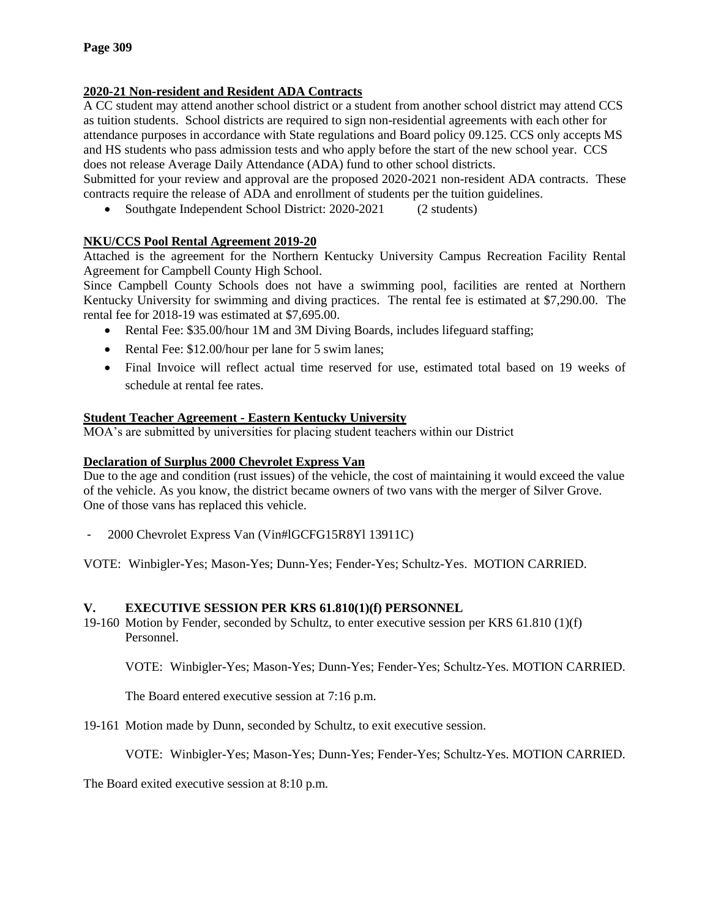# **2020-21 Non-resident and Resident ADA Contracts**

A CC student may attend another school district or a student from another school district may attend CCS as tuition students. School districts are required to sign non-residential agreements with each other for attendance purposes in accordance with State regulations and Board policy 09.125. CCS only accepts MS and HS students who pass admission tests and who apply before the start of the new school year. CCS does not release Average Daily Attendance (ADA) fund to other school districts.

Submitted for your review and approval are the proposed 2020-2021 non-resident ADA contracts. These contracts require the release of ADA and enrollment of students per the tuition guidelines.

• Southgate Independent School District: 2020-2021 (2 students)

# **NKU/CCS Pool Rental Agreement 2019-20**

Attached is the agreement for the Northern Kentucky University Campus Recreation Facility Rental Agreement for Campbell County High School.

Since Campbell County Schools does not have a swimming pool, facilities are rented at Northern Kentucky University for swimming and diving practices. The rental fee is estimated at \$7,290.00. The rental fee for 2018-19 was estimated at \$7,695.00.

- Rental Fee: \$35.00/hour 1M and 3M Diving Boards, includes lifeguard staffing;
- Rental Fee: \$12.00/hour per lane for 5 swim lanes;
- Final Invoice will reflect actual time reserved for use, estimated total based on 19 weeks of schedule at rental fee rates.

# **Student Teacher Agreement - Eastern Kentucky University**

MOA's are submitted by universities for placing student teachers within our District

# **Declaration of Surplus 2000 Chevrolet Express Van**

Due to the age and condition (rust issues) of the vehicle, the cost of maintaining it would exceed the value of the vehicle. As you know, the district became owners of two vans with the merger of Silver Grove. One of those vans has replaced this vehicle.

- 2000 Chevrolet Express Van (Vin#lGCFG15R8Yl 13911C)

VOTE: Winbigler-Yes; Mason-Yes; Dunn-Yes; Fender-Yes; Schultz-Yes. MOTION CARRIED.

# **V. EXECUTIVE SESSION PER KRS 61.810(1)(f) PERSONNEL**

19-160 Motion by Fender, seconded by Schultz, to enter executive session per KRS 61.810 (1)(f) Personnel.

VOTE: Winbigler-Yes; Mason-Yes; Dunn-Yes; Fender-Yes; Schultz-Yes. MOTION CARRIED.

The Board entered executive session at 7:16 p.m.

19-161 Motion made by Dunn, seconded by Schultz, to exit executive session.

VOTE: Winbigler-Yes; Mason-Yes; Dunn-Yes; Fender-Yes; Schultz-Yes. MOTION CARRIED.

The Board exited executive session at 8:10 p.m.